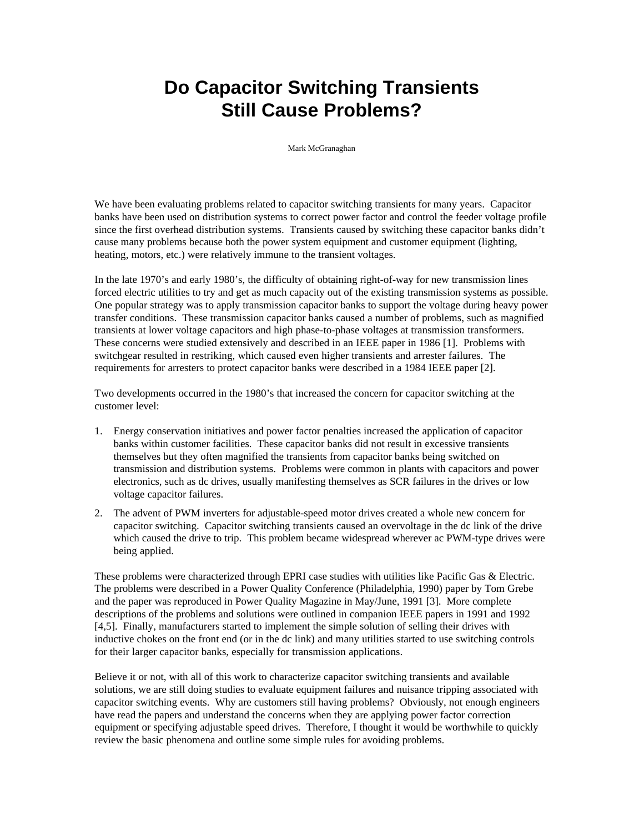# **Do Capacitor Switching Transients Still Cause Problems?**

Mark McGranaghan

We have been evaluating problems related to capacitor switching transients for many years. Capacitor banks have been used on distribution systems to correct power factor and control the feeder voltage profile since the first overhead distribution systems. Transients caused by switching these capacitor banks didn't cause many problems because both the power system equipment and customer equipment (lighting, heating, motors, etc.) were relatively immune to the transient voltages.

In the late 1970's and early 1980's, the difficulty of obtaining right-of-way for new transmission lines forced electric utilities to try and get as much capacity out of the existing transmission systems as possible. One popular strategy was to apply transmission capacitor banks to support the voltage during heavy power transfer conditions. These transmission capacitor banks caused a number of problems, such as magnified transients at lower voltage capacitors and high phase-to-phase voltages at transmission transformers. These concerns were studied extensively and described in an IEEE paper in 1986 [1]. Problems with switchgear resulted in restriking, which caused even higher transients and arrester failures. The requirements for arresters to protect capacitor banks were described in a 1984 IEEE paper [2].

Two developments occurred in the 1980's that increased the concern for capacitor switching at the customer level:

- 1. Energy conservation initiatives and power factor penalties increased the application of capacitor banks within customer facilities. These capacitor banks did not result in excessive transients themselves but they often magnified the transients from capacitor banks being switched on transmission and distribution systems. Problems were common in plants with capacitors and power electronics, such as dc drives, usually manifesting themselves as SCR failures in the drives or low voltage capacitor failures.
- 2. The advent of PWM inverters for adjustable-speed motor drives created a whole new concern for capacitor switching. Capacitor switching transients caused an overvoltage in the dc link of the drive which caused the drive to trip. This problem became widespread wherever ac PWM-type drives were being applied.

These problems were characterized through EPRI case studies with utilities like Pacific Gas & Electric. The problems were described in a Power Quality Conference (Philadelphia, 1990) paper by Tom Grebe and the paper was reproduced in Power Quality Magazine in May/June, 1991 [3]. More complete descriptions of the problems and solutions were outlined in companion IEEE papers in 1991 and 1992 [4,5]. Finally, manufacturers started to implement the simple solution of selling their drives with inductive chokes on the front end (or in the dc link) and many utilities started to use switching controls for their larger capacitor banks, especially for transmission applications.

Believe it or not, with all of this work to characterize capacitor switching transients and available solutions, we are still doing studies to evaluate equipment failures and nuisance tripping associated with capacitor switching events. Why are customers still having problems? Obviously, not enough engineers have read the papers and understand the concerns when they are applying power factor correction equipment or specifying adjustable speed drives. Therefore, I thought it would be worthwhile to quickly review the basic phenomena and outline some simple rules for avoiding problems.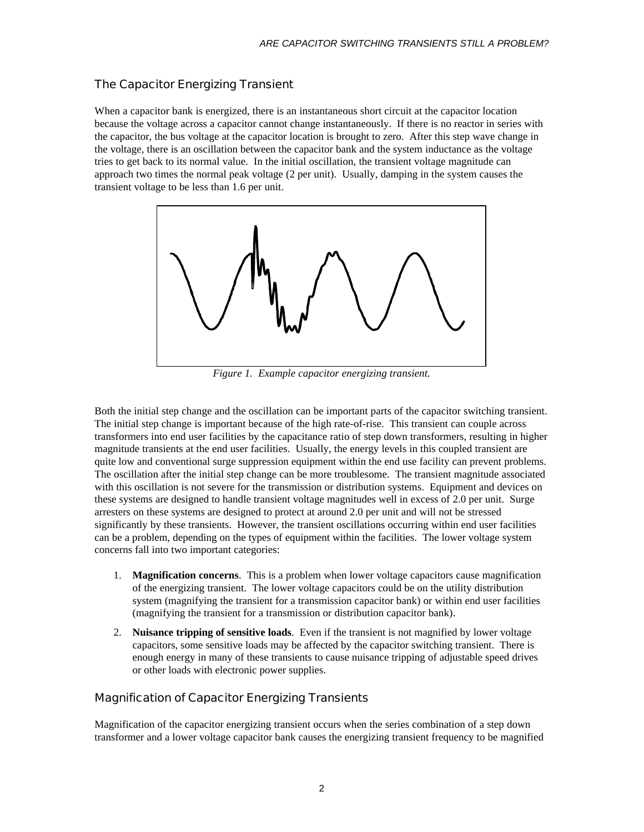# The Capacitor Energizing Transient

When a capacitor bank is energized, there is an instantaneous short circuit at the capacitor location because the voltage across a capacitor cannot change instantaneously. If there is no reactor in series with the capacitor, the bus voltage at the capacitor location is brought to zero. After this step wave change in the voltage, there is an oscillation between the capacitor bank and the system inductance as the voltage tries to get back to its normal value. In the initial oscillation, the transient voltage magnitude can approach two times the normal peak voltage (2 per unit). Usually, damping in the system causes the transient voltage to be less than 1.6 per unit.



*Figure 1. Example capacitor energizing transient.*

Both the initial step change and the oscillation can be important parts of the capacitor switching transient. The initial step change is important because of the high rate-of-rise. This transient can couple across transformers into end user facilities by the capacitance ratio of step down transformers, resulting in higher magnitude transients at the end user facilities. Usually, the energy levels in this coupled transient are quite low and conventional surge suppression equipment within the end use facility can prevent problems. The oscillation after the initial step change can be more troublesome. The transient magnitude associated with this oscillation is not severe for the transmission or distribution systems. Equipment and devices on these systems are designed to handle transient voltage magnitudes well in excess of 2.0 per unit. Surge arresters on these systems are designed to protect at around 2.0 per unit and will not be stressed significantly by these transients. However, the transient oscillations occurring within end user facilities can be a problem, depending on the types of equipment within the facilities. The lower voltage system concerns fall into two important categories:

- 1. **Magnification concerns**. This is a problem when lower voltage capacitors cause magnification of the energizing transient. The lower voltage capacitors could be on the utility distribution system (magnifying the transient for a transmission capacitor bank) or within end user facilities (magnifying the transient for a transmission or distribution capacitor bank).
- 2. **Nuisance tripping of sensitive loads**. Even if the transient is not magnified by lower voltage capacitors, some sensitive loads may be affected by the capacitor switching transient. There is enough energy in many of these transients to cause nuisance tripping of adjustable speed drives or other loads with electronic power supplies.

# Magnification of Capacitor Energizing Transients

Magnification of the capacitor energizing transient occurs when the series combination of a step down transformer and a lower voltage capacitor bank causes the energizing transient frequency to be magnified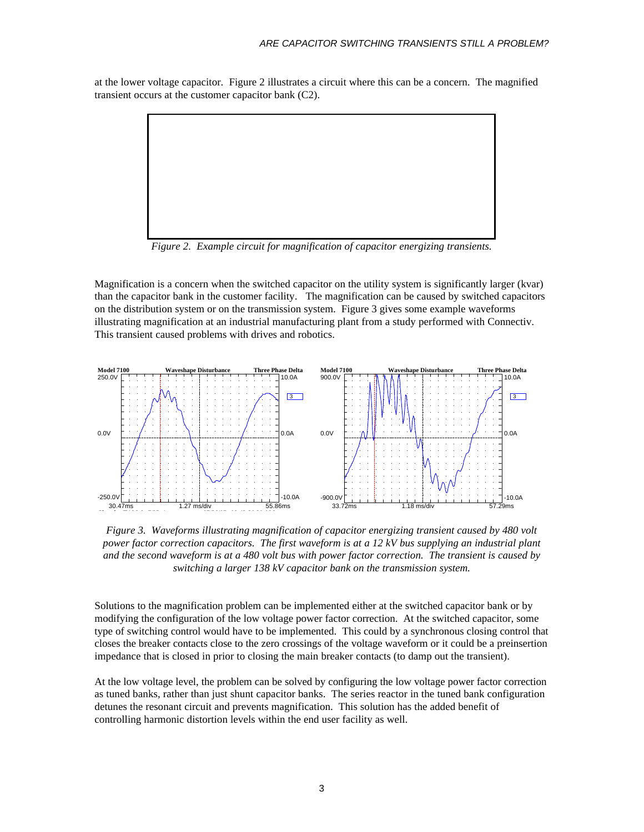at the lower voltage capacitor. Figure 2 illustrates a circuit where this can be a concern. The magnified transient occurs at the customer capacitor bank (C2).



*Figure 2. Example circuit for magnification of capacitor energizing transients.*

Magnification is a concern when the switched capacitor on the utility system is significantly larger (kvar) than the capacitor bank in the customer facility. The magnification can be caused by switched capacitors on the distribution system or on the transmission system. Figure 3 gives some example waveforms illustrating magnification at an industrial manufacturing plant from a study performed with Connectiv. This transient caused problems with drives and robotics.



*Figure 3. Waveforms illustrating magnification of capacitor energizing transient caused by 480 volt power factor correction capacitors. The first waveform is at a 12 kV bus supplying an industrial plant and the second waveform is at a 480 volt bus with power factor correction. The transient is caused by switching a larger 138 kV capacitor bank on the transmission system.*

Solutions to the magnification problem can be implemented either at the switched capacitor bank or by modifying the configuration of the low voltage power factor correction. At the switched capacitor, some type of switching control would have to be implemented. This could by a synchronous closing control that closes the breaker contacts close to the zero crossings of the voltage waveform or it could be a preinsertion impedance that is closed in prior to closing the main breaker contacts (to damp out the transient).

At the low voltage level, the problem can be solved by configuring the low voltage power factor correction as tuned banks, rather than just shunt capacitor banks. The series reactor in the tuned bank configuration detunes the resonant circuit and prevents magnification. This solution has the added benefit of controlling harmonic distortion levels within the end user facility as well.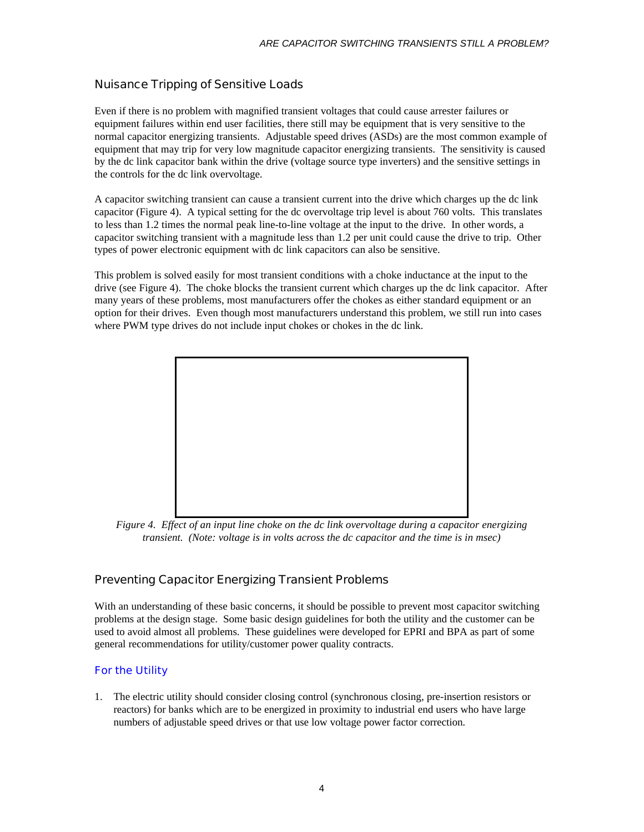# Nuisance Tripping of Sensitive Loads

Even if there is no problem with magnified transient voltages that could cause arrester failures or equipment failures within end user facilities, there still may be equipment that is very sensitive to the normal capacitor energizing transients. Adjustable speed drives (ASDs) are the most common example of equipment that may trip for very low magnitude capacitor energizing transients. The sensitivity is caused by the dc link capacitor bank within the drive (voltage source type inverters) and the sensitive settings in the controls for the dc link overvoltage.

A capacitor switching transient can cause a transient current into the drive which charges up the dc link capacitor (Figure 4). A typical setting for the dc overvoltage trip level is about 760 volts. This translates to less than 1.2 times the normal peak line-to-line voltage at the input to the drive. In other words, a capacitor switching transient with a magnitude less than 1.2 per unit could cause the drive to trip. Other types of power electronic equipment with dc link capacitors can also be sensitive.

This problem is solved easily for most transient conditions with a choke inductance at the input to the drive (see Figure 4). The choke blocks the transient current which charges up the dc link capacitor. After many years of these problems, most manufacturers offer the chokes as either standard equipment or an option for their drives. Even though most manufacturers understand this problem, we still run into cases where PWM type drives do not include input chokes or chokes in the dc link.



*Figure 4. Effect of an input line choke on the dc link overvoltage during a capacitor energizing transient. (Note: voltage is in volts across the dc capacitor and the time is in msec)*

# Preventing Capacitor Energizing Transient Problems

With an understanding of these basic concerns, it should be possible to prevent most capacitor switching problems at the design stage. Some basic design guidelines for both the utility and the customer can be used to avoid almost all problems. These guidelines were developed for EPRI and BPA as part of some general recommendations for utility/customer power quality contracts.

# For the Utility

1. The electric utility should consider closing control (synchronous closing, pre-insertion resistors or reactors) for banks which are to be energized in proximity to industrial end users who have large numbers of adjustable speed drives or that use low voltage power factor correction.